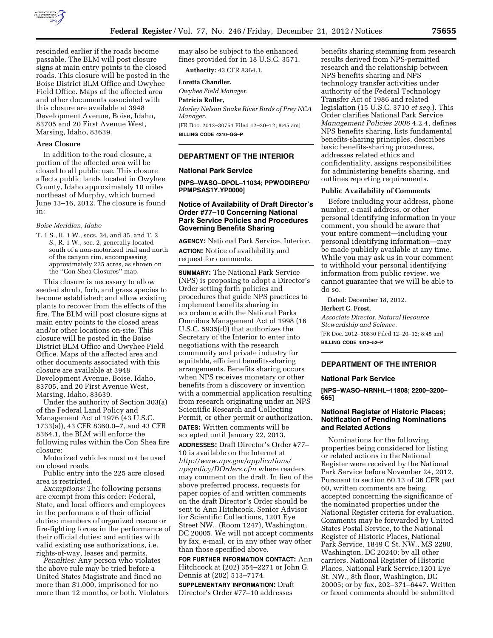

rescinded earlier if the roads become passable. The BLM will post closure signs at main entry points to the closed roads. This closure will be posted in the Boise District BLM Office and Owyhee Field Office. Maps of the affected area and other documents associated with this closure are available at 3948 Development Avenue, Boise, Idaho, 83705 and 20 First Avenue West, Marsing, Idaho, 83639.

## **Area Closure**

In addition to the road closure, a portion of the affected area will be closed to all public use. This closure affects public lands located in Owyhee County, Idaho approximately 10 miles northeast of Murphy, which burned June 13–16, 2012. The closure is found in:

### *Boise Meridian, Idaho*

T. 1 S., R. 1 W., secs. 34, and 35, and T. 2 S., R. 1 W., sec. 2, generally located south of a non-motorized trail and north of the canyon rim, encompassing approximately 225 acres, as shown on the ''Con Shea Closures'' map.

This closure is necessary to allow seeded shrub, forb, and grass species to become established; and allow existing plants to recover from the effects of the fire. The BLM will post closure signs at main entry points to the closed areas and/or other locations on-site. This closure will be posted in the Boise District BLM Office and Owyhee Field Office. Maps of the affected area and other documents associated with this closure are available at 3948 Development Avenue, Boise, Idaho, 83705, and 20 First Avenue West, Marsing, Idaho, 83639.

Under the authority of Section 303(a) of the Federal Land Policy and Management Act of 1976 (43 U.S.C. 1733(a)), 43 CFR 8360.0–7, and 43 CFR 8364.1, the BLM will enforce the following rules within the Con Shea fire closure:

Motorized vehicles must not be used on closed roads.

Public entry into the 225 acre closed area is restricted.

*Exemptions:* The following persons are exempt from this order: Federal, State, and local officers and employees in the performance of their official duties; members of organized rescue or fire-fighting forces in the performance of their official duties; and entities with valid existing use authorizations, i.e. rights-of-way, leases and permits.

*Penalties:* Any person who violates the above rule may be tried before a United States Magistrate and fined no more than \$1,000, imprisoned for no more than 12 months, or both. Violators may also be subject to the enhanced fines provided for in 18 U.S.C. 3571. **Authority:** 43 CFR 8364.1.

#### **Loretta Chandler,**

*Owyhee Field Manager.*  **Patricia Roller,**  *Morley Nelson Snake River Birds of Prey NCA Manager.*  [FR Doc. 2012–30751 Filed 12–20–12; 8:45 am] **BILLING CODE 4310–GG–P** 

## **DEPARTMENT OF THE INTERIOR**

### **National Park Service**

**[NPS–WASO–DPOL–11034; PPWODIREP0/ PPMPSAS1Y.YP0000]** 

## **Notice of Availability of Draft Director's Order #77–10 Concerning National Park Service Policies and Procedures Governing Benefits Sharing**

**AGENCY:** National Park Service, Interior. **ACTION:** Notice of availability and request for comments.

**SUMMARY:** The National Park Service (NPS) is proposing to adopt a Director's Order setting forth policies and procedures that guide NPS practices to implement benefits sharing in accordance with the National Parks Omnibus Management Act of 1998 (16 U.S.C. 5935(d)) that authorizes the Secretary of the Interior to enter into negotiations with the research community and private industry for equitable, efficient benefits-sharing arrangements. Benefits sharing occurs when NPS receives monetary or other benefits from a discovery or invention with a commercial application resulting from research originating under an NPS Scientific Research and Collecting Permit, or other permit or authorization. **DATES:** Written comments will be

accepted until January 22, 2013.

**ADDRESSES:** Draft Director's Order #77– 10 is available on the Internet at *[http://www.nps.gov/applications/](http://www.nps.gov/applications/npspolicy/DOrders.cfm)  [npspolicy/DOrders.cfm](http://www.nps.gov/applications/npspolicy/DOrders.cfm)* where readers may comment on the draft. In lieu of the above preferred process, requests for paper copies of and written comments on the draft Director's Order should be sent to Ann Hitchcock, Senior Advisor for Scientific Collections, 1201 Eye Street NW., (Room 1247), Washington, DC 20005. We will not accept comments by fax, e-mail, or in any other way other than those specified above.

**FOR FURTHER INFORMATION CONTACT:** Ann Hitchcock at (202) 354–2271 or John G. Dennis at (202) 513–7174.

**SUPPLEMENTARY INFORMATION:** Draft Director's Order #77–10 addresses

benefits sharing stemming from research results derived from NPS-permitted research and the relationship between NPS benefits sharing and NPS technology transfer activities under authority of the Federal Technology Transfer Act of 1986 and related legislation (15 U.S.C. 3710 *et seq.*). This Order clarifies National Park Service *Management Policies 2006* 4.2.4, defines NPS benefits sharing, lists fundamental benefits-sharing principles, describes basic benefits-sharing procedures, addresses related ethics and confidentiality, assigns responsibilities for administering benefits sharing, and outlines reporting requirements.

### **Public Availability of Comments**

Before including your address, phone number, e-mail address, or other personal identifying information in your comment, you should be aware that your entire comment—including your personal identifying information—may be made publicly available at any time. While you may ask us in your comment to withhold your personal identifying information from public review, we cannot guarantee that we will be able to do so.

Dated: December 18, 2012.

### **Herbert C. Frost,**

*Associate Director, Natural Resource Stewardship and Science.*  [FR Doc. 2012–30830 Filed 12–20–12; 8:45 am] **BILLING CODE 4312–52–P** 

## **DEPARTMENT OF THE INTERIOR**

#### **National Park Service**

**[NPS–WASO–NRNHL–11808; 2200–3200– 665]** 

## **National Register of Historic Places; Notification of Pending Nominations and Related Actions**

Nominations for the following properties being considered for listing or related actions in the National Register were received by the National Park Service before November 24, 2012. Pursuant to section 60.13 of 36 CFR part 60, written comments are being accepted concerning the significance of the nominated properties under the National Register criteria for evaluation. Comments may be forwarded by United States Postal Service, to the National Register of Historic Places, National Park Service, 1849 C St. NW., MS 2280, Washington, DC 20240; by all other carriers, National Register of Historic Places, National Park Service,1201 Eye St. NW., 8th floor, Washington, DC 20005; or by fax, 202–371–6447. Written or faxed comments should be submitted